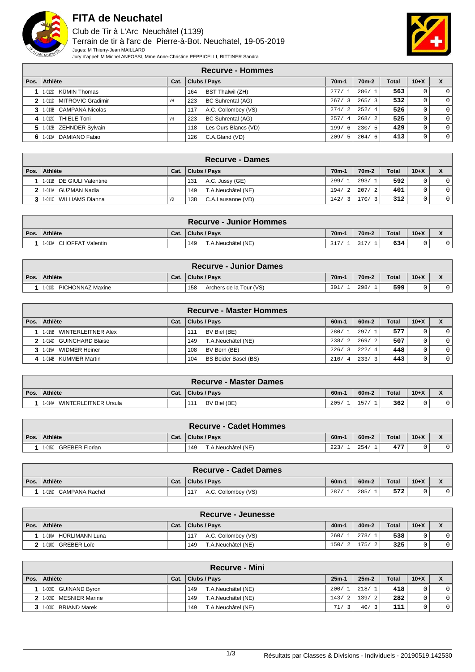

## **FITA de Neuchatel**

Club de Tir à L'Arc Neuchâtel (1139) Terrain de tir à l'arc de Pierre-à-Bot. Neuchatel, 19-05-2019 Juges: M Thierry-Jean MAILLARD Jury d'appel: M Michel ANFOSSI, Mme Anne-Christine PEPPICELLI, RITTINER Sandra



|      |                          |      | <b>Recurve - Hommes</b>         |                    |                    |              |                |                |
|------|--------------------------|------|---------------------------------|--------------------|--------------------|--------------|----------------|----------------|
| Pos. | Athlète                  | Cat. | <b>Clubs / Pays</b>             | 70 <sub>m</sub> -1 | 70 <sub>m</sub> -2 | <b>Total</b> | $10+X$         |                |
|      | 1-012D KÜMIN Thomas      |      | <b>BST Thalwil (ZH)</b><br>164  | 277/1              | 286/1              | 563          | $\overline{0}$ | $\Omega$       |
|      | 1-011D MITROVIC Gradimir | VH   | <b>BC Suhrental (AG)</b><br>223 | 267/3              | 265/3              | 532          | 0              | $\overline{0}$ |
|      | 3 1.013B CAMPANA Nicolas |      | A.C. Collombey (VS)<br>117      | 274/2              | 252/4              | 526          | $\circ$        | $\overline{0}$ |
| 4    | 1-012C THIELE Toni       | VH   | <b>BC Suhrental (AG)</b><br>223 | 257/4              | 268/2              | 525          | 0              | $\overline{0}$ |
|      | 1-012B ZEHNDER Sylvain   |      | Les Ours Blancs (VD)<br>118     | 199/6              | 230/5              | 429          | 0              | $\overline{0}$ |
| 6    | 1-012A DAMIANO Fabio     |      | C.A.Gland (VD)<br>126           | 209/5              | 204/6              | 413          | 0              | $\overline{0}$ |

| Recurve - Dames               |           |                           |         |                    |              |        |                |  |  |  |
|-------------------------------|-----------|---------------------------|---------|--------------------|--------------|--------|----------------|--|--|--|
| Pos. Athlète                  | Cat.      | Clubs / Pays              | $70m-1$ | 70 <sub>m</sub> -2 | <b>Total</b> | $10+X$ |                |  |  |  |
| 1   1-011B DE GIULI Valentine |           | A.C. Jussy (GE)<br>131    | 299/    | 293/               | 592          |        | 01             |  |  |  |
| 2 1-011A GUZMAN Nadia         |           | T.A.Neuchâtel (NE)<br>149 | 194/2   | 207/<br>2          | 401          |        | 0 <sup>1</sup> |  |  |  |
| 3 1.0110 WILLIAMS Dianna      | <b>VD</b> | C.A.Lausanne (VD)<br>138  | 142/3   | 170/               | 312          |        | 0 <sup>1</sup> |  |  |  |

|                          |      | <b>Recurve - Junior Hommes</b> |                   |                    |              |        |  |
|--------------------------|------|--------------------------------|-------------------|--------------------|--------------|--------|--|
| Pos. Athlète             | Cat. | Clubs / Pays                   | 70 <sub>m</sub> - | 70 <sub>m</sub> -2 | <b>Total</b> | $10+X$ |  |
| 11-013A CHOFFAT Valentin |      | T.A.Neuchâtel (NE)<br>149      | 317/              | 217/               | 634          |        |  |

|                            |      | <b>Recurve - Junior Dames</b>  |        |                    |              |        |  |
|----------------------------|------|--------------------------------|--------|--------------------|--------------|--------|--|
| Pos. Athlète               | Cat. | Clubs / Pays                   | $70m-$ | 70 <sub>m</sub> -2 | <b>Total</b> | $10+X$ |  |
| PICHONNAZ Maxine<br>1-013D |      | 158<br>Archers de la Tour (VS) | 301/   | 298/               | 599          |        |  |

|      |                           |      | <b>Recurve - Master Hommes</b> |                        |                                 |       |        |  |
|------|---------------------------|------|--------------------------------|------------------------|---------------------------------|-------|--------|--|
| Pos. | Athlète                   | Cat. | <b>Clubs / Pays</b>            | $60m-$                 | $60m-2$                         | Total | $10+X$ |  |
|      | 1-015B WINTERLEITNER Alex |      | BV Biel (BE)<br>111            | 280/                   | 297/1                           | 577   |        |  |
|      | 1-014D GUINCHARD Blaise   |      | T.A.Neuchâtel (NE)<br>149      | 238/<br>$\overline{2}$ | 269/2                           | 507   |        |  |
|      | 1-015A WIDMER Heiner      |      | BV Bern (BE)<br>108            | 226/<br>3              | 222/4                           | 448   |        |  |
|      | 1-014B KUMMER Martin      |      | BS Beider Basel (BS)<br>104    | 210/<br>-4             | 233/<br>$\overline{\mathbf{z}}$ | 443   | 0      |  |

|                                |      | <b>Recurve - Master Dames</b> |         |         |              |        |  |
|--------------------------------|------|-------------------------------|---------|---------|--------------|--------|--|
| Pos. Athlète                   | Cat. | Clubs / Pays                  | $60m-1$ | $60m-2$ | <b>Total</b> | $10+X$ |  |
| WINTERLEITNER Ursula<br>1-014A |      | BV Biel (BE)<br>111           | 205/    | 57.     | 362          |        |  |

|                          |      | <b>Recurve - Cadet Hommes</b> |        |                    |              |        |  |
|--------------------------|------|-------------------------------|--------|--------------------|--------------|--------|--|
| Pos. Athlète             | Cat. | Clubs / Pays                  | $60m-$ | 60 <sub>m</sub> -2 | <b>Total</b> | $10+X$ |  |
| GREBER Florian<br>1-015C |      | T.A.Neuchâtel (NE)<br>149     | 223/   | 254                | 477          |        |  |

|                          |      | <b>Recurve - Cadet Dames</b> |        |         |              |        |  |
|--------------------------|------|------------------------------|--------|---------|--------------|--------|--|
| Pos. Athlète             | Cat. | Clubs / Pays                 | $60m-$ | $60m-2$ | <b>Total</b> | $10+X$ |  |
| CAMPANA Rachel<br>1-015D |      | A.C. Collombey (VS)<br>117   | 287.   | 285     | 572          |        |  |

|                            |      | Recurve - Jeunesse         |         |                 |              |          |  |
|----------------------------|------|----------------------------|---------|-----------------|--------------|----------|--|
| Pos. Athlète               | Cat. | Clubs / Pays               | $40m-1$ | $40m-2$         | <b>Total</b> | $10 + X$ |  |
| . HÜRLIMANN Luna<br>1 010A |      | A.C. Collombey (VS)<br>117 | 260/1   | 278/            | 538          |          |  |
| GREBER Loïc<br>1-010C      |      | T.A.Neuchâtel (NE)<br>149  |         | $150/2$   175/2 | 325          |          |  |

|     |                          |      | <b>Recurve - Mini</b>            |         |         |              |        |                    |
|-----|--------------------------|------|----------------------------------|---------|---------|--------------|--------|--------------------|
|     | Pos. Athlète             | Cat. | Clubs / Pays                     | $25m-1$ | $25m-2$ | <b>Total</b> | $10+X$ | $\mathbf{\Lambda}$ |
|     | 1-009C GUINAND Byron     |      | T.A.Neuchâtel (NE)<br>149        | 200/    | 218/    | 418          |        | 0 <sup>1</sup>     |
| 21  | MESNIER Marine<br>1-009D |      | T.A.Neuchâtel (NE)<br>149        | 143/2   | 139/2   | 282          |        | 0 <sup>1</sup>     |
| 3 I | 1-008C BRIAND Marek      |      | <b>F.A.Neuchâtel (NE)</b><br>149 | 71/     | 40/     | 111          |        | 0 <sup>1</sup>     |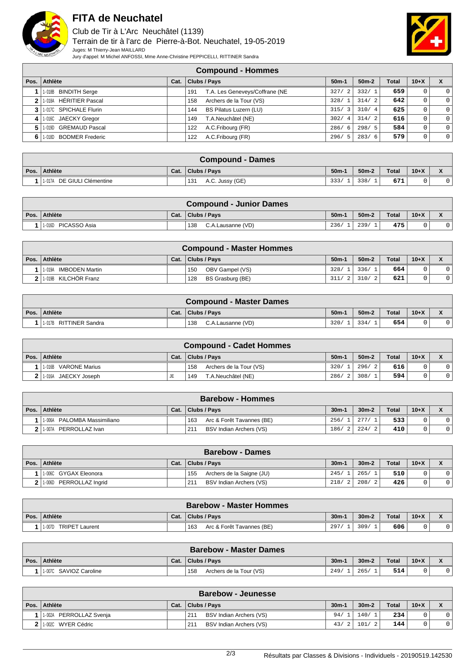

## **FITA de Neuchatel**

Club de Tir à L'Arc Neuchâtel (1139) Terrain de tir à l'arc de Pierre-à-Bot. Neuchatel, 19-05-2019 Juges: M Thierry-Jean MAILLARD Jury d'appel: M Michel ANFOSSI, Mme Anne-Christine PEPPICELLI, RITTINER Sandra



| <b>Compound - Hommes</b> |  |
|--------------------------|--|
|--------------------------|--|

| Pos. | Athlète                | Cat. | <b>Clubs / Pays</b>                   | $50m-1$ | $50m-2$ | <b>Total</b> | $10+X$ | X        |
|------|------------------------|------|---------------------------------------|---------|---------|--------------|--------|----------|
|      | 1-018B BINDITH Serge   |      | T.A. Les Geneveys/Coffrane (NE<br>191 | 327/2   | 332/1   | 659          |        | $\Omega$ |
|      | 1-018A HÉRITIER Pascal |      | Archers de la Tour (VS)<br>158        | 328/1   | 314/2   | 642          |        | $\Omega$ |
|      | 1-017C SPICHALE Flurin |      | BS Pilatus Luzern (LU)<br>144         | 315/3   | 310/4   | 625          |        | $\Omega$ |
|      | 1-016C JAECKY Gregor   |      | T.A.Neuchâtel (NE)<br>149             | 302/4   | 314/2   | 616          |        | $\Omega$ |
|      | 1-019D GREMAUD Pascal  |      | A.C.Fribourg (FR)<br>122              | 286/6   | 298/5   | 584          | 0      | $\Omega$ |
| 6    | 1-018D BODMER Frederic |      | A.C.Fribourg (FR)<br>122              | 296/5   | 283/6   | 579          |        | $\Omega$ |

| ∖Compound - Dames          |  |                        |                    |         |              |        |                                          |  |  |  |
|----------------------------|--|------------------------|--------------------|---------|--------------|--------|------------------------------------------|--|--|--|
| Pos. Athlète               |  | Cat.   Clubs / Pavs    | 50 <sub>m</sub> -1 | $50m-2$ | <b>Total</b> | $10+X$ | $\overline{\phantom{a}}$<br>$\mathbf{v}$ |  |  |  |
| 1-017A DE GIULI Clémentine |  | A.C. Jussy (GE)<br>131 | 333/               | 338/    | 671          |        |                                          |  |  |  |

| <b>Compound - Junior Dames</b> |      |                          |         |         |              |        |  |  |  |  |
|--------------------------------|------|--------------------------|---------|---------|--------------|--------|--|--|--|--|
| Pos. Athlète                   | Cat. | Clubs / Pays             | $50m-1$ | $50m-2$ | <b>Total</b> | $10+X$ |  |  |  |  |
| 1-016D PICASSO Asia            |      | 138<br>C.A.Lausanne (VD) | 236/    | 239/    | 475'         |        |  |  |  |  |

| <b>Compound - Master Hommes</b> |      |                         |         |         |              |        |   |  |  |
|---------------------------------|------|-------------------------|---------|---------|--------------|--------|---|--|--|
| Pos. Athlète                    | Cat. | Clubs / Pays            | $50m-1$ | $50m-2$ | <b>Total</b> | $10+X$ |   |  |  |
| <b>IMBODEN Martin</b><br>1-019A |      | OBV Gampel (VS)<br>150  | 328/    | 1336/7  | 664          |        |   |  |  |
| 1-019B KILCHÖR Franz            |      | BS Grasburg (BE)<br>128 | 311/2   | 310/2   | 621          |        | 0 |  |  |

| <b>Compound - Master Dames</b> |      |                          |         |         |              |        |  |  |  |
|--------------------------------|------|--------------------------|---------|---------|--------------|--------|--|--|--|
| Pos.   Athlète                 | Cat. | Clubs / Pays             | $50m-1$ | $50m-2$ | <b>Total</b> | $10+X$ |  |  |  |
| 1-017B RITTINER Sandra         |      | 138<br>C.A.Lausanne (VD) | 320/    | 334/    | 654          |        |  |  |  |

| <b>Compound - Cadet Hommes</b> |      |                                |                    |         |              |        |    |  |  |  |
|--------------------------------|------|--------------------------------|--------------------|---------|--------------|--------|----|--|--|--|
| Pos. Athlète                   | Cat. | Clubs / Pays                   | 50 <sub>m</sub> -1 | $50m-2$ | <b>Total</b> | $10+X$ |    |  |  |  |
| 1-016B VARONE Marius           |      | Archers de la Tour (VS)<br>158 | 320/1              | 296/21  | 616          |        |    |  |  |  |
| 11-016A JAECKY Joseph          | JE   | T.A.Neuchâtel (NE)<br>149      | 286/2              | 308/    | 594          |        | 01 |  |  |  |

| <b>Barebow - Hommes</b>     |      |                                  |         |            |       |        |    |  |  |
|-----------------------------|------|----------------------------------|---------|------------|-------|--------|----|--|--|
| Pos. Athlète                | Cat. | <sup>1</sup> Clubs / Pays        | $30m -$ | $30m-2$    | Total | $10+X$ |    |  |  |
| 1-006A PALOMBA Massimiliano |      | 163<br>Arc & Forêt Tavannes (BE) | 256/1   | 277/       | 533   |        |    |  |  |
| PERROLLAZ Ivan<br>1-007A    |      | BSV Indian Archers (VS)<br>211   | 186/2   | 224/<br>-2 | 410   |        | 01 |  |  |

| <b>Barebow - Dames</b>     |      |                                  |            |         |       |        |  |  |
|----------------------------|------|----------------------------------|------------|---------|-------|--------|--|--|
| Pos. Athlète               | Cat. | Clubs / Pays                     | $30m-$     | $30m-2$ | Total | $10+X$ |  |  |
| 1-006C GYGAX Eleonora      |      | 155<br>Archers de la Saigne (JU) | 245/       | 265/    | 510   |        |  |  |
| PERROLLAZ Inarid<br>1-006D |      | BSV Indian Archers (VS)<br>211   | 218/2 208/ |         | 426   |        |  |  |

|      | <b>Barebow - Master Hommes</b>  |      |                                  |         |         |              |          |  |  |  |
|------|---------------------------------|------|----------------------------------|---------|---------|--------------|----------|--|--|--|
| Pos. | Athlète                         | Cat. | Clubs / Pays                     | $30m -$ | $30m-2$ | <b>Total</b> | $10 + X$ |  |  |  |
|      | 1-007D<br><b>TRIPET Laurent</b> |      | 163<br>Arc & Forêt Tavannes (BE) | 297.    | 309/    | 606          |          |  |  |  |

| <b>Barebow - Master Dames</b> |      |                                |         |         |       |          |  |  |  |
|-------------------------------|------|--------------------------------|---------|---------|-------|----------|--|--|--|
| Pos. Athlète                  | Cat. | Clubs / Pays                   | $30m-1$ | $30m-2$ | Total | $10 + X$ |  |  |  |
| 1-007C SAVIOZ Caroline        |      | Archers de la Tour (VS)<br>158 | 249/    | 265/    | 514   |          |  |  |  |

| <b>Barebow - Jeunesse</b> |      |                                |         |         |              |        |  |  |  |
|---------------------------|------|--------------------------------|---------|---------|--------------|--------|--|--|--|
| Pos. Athlète              | Cat. | Clubs / Pays                   | $30m-1$ | $30m-2$ | <b>Total</b> | $10+X$ |  |  |  |
| 11-002A PERROLLAZ Svenja  |      | BSV Indian Archers (VS)<br>211 | 94/     | 140/    | 234          |        |  |  |  |
| l 1-002C WYER Cédric      |      | BSV Indian Archers (VS)<br>211 | 43/2    | 101     | 144          |        |  |  |  |